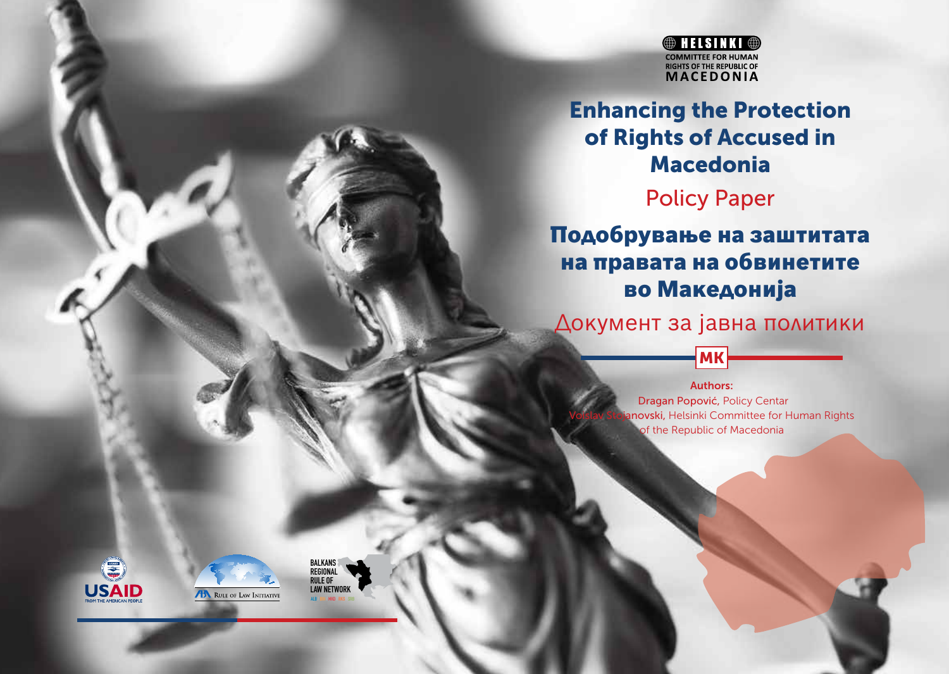

Enhancing the Protection of Rights of Accused in Macedonia

Policy Paper

## Подобрување на заштитата на правата на обвинетите во Македонија

Документ за јавна политики

MK

Authors: Dragan Popović, Policy Centar anovski, Helsinki Committee for Human Rights of the Republic of Macedonia





**BALKANS REGIONAL RULE OF LAW NETWORK ALB / BIH / MKD / RKS / SRB**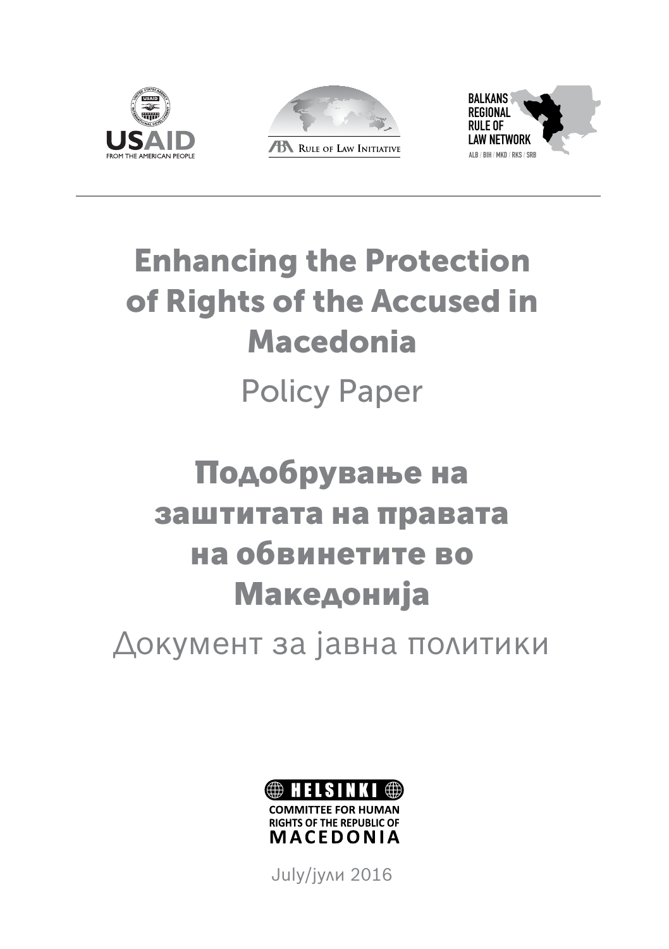





# Enhancing the Protection of Rights of the Accused in Macedonia Policy Paper

# Подобрување на заштитата на правата на обвинетите во Македонија

Документ за јавна политики



MACEDONIA

July/јули 2016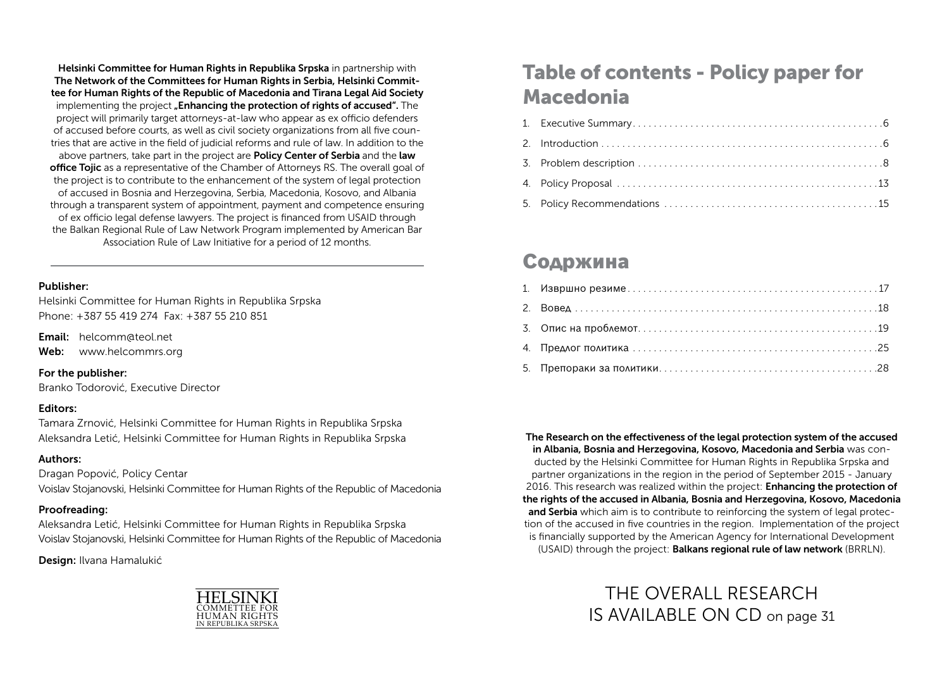Helsinki Committee for Human Rights in Republika Srpska in partnership with The Network of the Committees for Human Rights in Serbia, Helsinki Committee for Human Rights of the Republic of Macedonia and Tirana Legal Aid Society implementing the project **"Enhancing the protection of rights of accused**". The project will primarily target attorneys-at-law who appear as ex officio defenders of accused before courts, as well as civil society organizations from all five countries that are active in the field of judicial reforms and rule of law. In addition to the above partners, take part in the project are **Policy Center of Serbia** and the **law** office Tojic as a representative of the Chamber of Attorneys RS. The overall goal of the project is to contribute to the enhancement of the system of legal protection of accused in Bosnia and Herzegovina, Serbia, Macedonia, Kosovo, and Albania through a transparent system of appointment, payment and competence ensuring of ex officio legal defense lawyers. The project is financed from USAID through the Balkan Regional Rule of Law Network Program implemented by American Bar Association Rule of Law Initiative for a period of 12 months.

#### Publisher:

Helsinki Committee for Human Rights in Republika Srpska Phone: +387 55 419 274 Fax: +387 55 210 851

Email: helcomm@teol.net Web: www.helcommrs.org

For the publisher:

Branko Todorović, Executive Director

#### Editors:

Tamara Zrnović, Helsinki Committee for Human Rights in Republika Srpska Aleksandra Letić, Helsinki Committee for Human Rights in Republika Srpska

#### Authors:

Dragan Popović, Policy Centar

Voislav Stojanovski, Helsinki Committee for Human Rights of the Republic of Macedonia

#### Proofreading:

Aleksandra Letić, Helsinki Committee for Human Rights in Republika Srpska Voislav Stojanovski, Helsinki Committee for Human Rights of the Republic of Macedonia

Design: Ilvana Hamalukić



## Table of contents - Policy paper for Macedonia

## Содржина

The Research on the effectiveness of the legal protection system of the accused in Albania, Bosnia and Herzegovina, Kosovo, Macedonia and Serbia was conducted by the Helsinki Committee for Human Rights in Republika Srpska and partner organizations in the region in the period of September 2015 - January 2016. This research was realized within the project: **Enhancing the protection of** the rights of the accused in Albania, Bosnia and Herzegovina, Kosovo, Macedonia and Serbia which aim is to contribute to reinforcing the system of legal protection of the accused in five countries in the region. Implementation of the project is financially supported by the American Agency for International Development (USAID) through the project: Balkans regional rule of law network (BRRLN).

> THE OVERALL RESEARCH IS AVAILABLE ON CD on page 31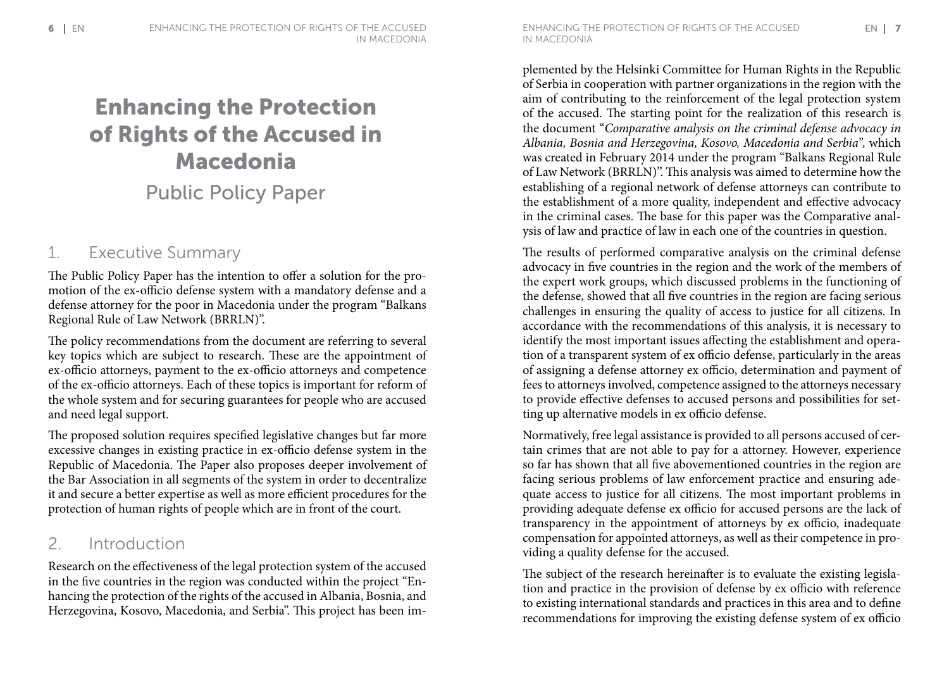# Enhancing the Protection of Rights of the Accused in Macedonia

Public Policy Paper

### 1. Executive Summary

The Public Policy Paper has the intention to offer a solution for the promotion of the ex-officio defense system with a mandatory defense and a defense attorney for the poor in Macedonia under the program "Balkans Regional Rule of Law Network (BRRLN)".

The policy recommendations from the document are referring to several key topics which are subject to research. These are the appointment of ex-officio attorneys, payment to the ex-officio attorneys and competence of the ex-officio attorneys. Each of these topics is important for reform of the whole system and for securing guarantees for people who are accused and need legal support.

The proposed solution requires specified legislative changes but far more excessive changes in existing practice in ex-officio defense system in the Republic of Macedonia. The Paper also proposes deeper involvement of the Bar Association in all segments of the system in order to decentralize it and secure a better expertise as well as more efficient procedures for the protection of human rights of people which are in front of the court.

### 2. Introduction

Research on the effectiveness of the legal protection system of the accused in the five countries in the region was conducted within the project "Enhancing the protection of the rights of the accused in Albania, Bosnia, and Herzegovina, Kosovo, Macedonia, and Serbia". This project has been implemented by the Helsinki Committee for Human Rights in the Republic of Serbia in cooperation with partner organizations in the region with the aim of contributing to the reinforcement of the legal protection system of the accused. The starting point for the realization of this research is the document "*Comparative analysis on the criminal defense advocacy in Albania, Bosnia and Herzegovina, Kosovo, Macedonia and Serbia",* which was created in February 2014 under the program "Balkans Regional Rule of Law Network (BRRLN)". This analysis was aimed to determine how the establishing of a regional network of defense attorneys can contribute to the establishment of a more quality, independent and effective advocacy in the criminal cases. The base for this paper was the Comparative analysis of law and practice of law in each one of the countries in question.

The results of performed comparative analysis on the criminal defense advocacy in five countries in the region and the work of the members of the expert work groups, which discussed problems in the functioning of the defense, showed that all five countries in the region are facing serious challenges in ensuring the quality of access to justice for all citizens. In accordance with the recommendations of this analysis, it is necessary to identify the most important issues affecting the establishment and operation of a transparent system of ex officio defense, particularly in the areas of assigning a defense attorney ex officio, determination and payment of fees to attorneys involved, competence assigned to the attorneys necessary to provide effective defenses to accused persons and possibilities for setting up alternative models in ex officio defense.

Normatively, free legal assistance is provided to all persons accused of certain crimes that are not able to pay for a attorney. However, experience so far has shown that all five abovementioned countries in the region are facing serious problems of law enforcement practice and ensuring adequate access to justice for all citizens. The most important problems in providing adequate defense ex officio for accused persons are the lack of transparency in the appointment of attorneys by ex officio, inadequate compensation for appointed attorneys, as well as their competence in providing a quality defense for the accused.

The subject of the research hereinafter is to evaluate the existing legislation and practice in the provision of defense by ex officio with reference to existing international standards and practices in this area and to define recommendations for improving the existing defense system of ex officio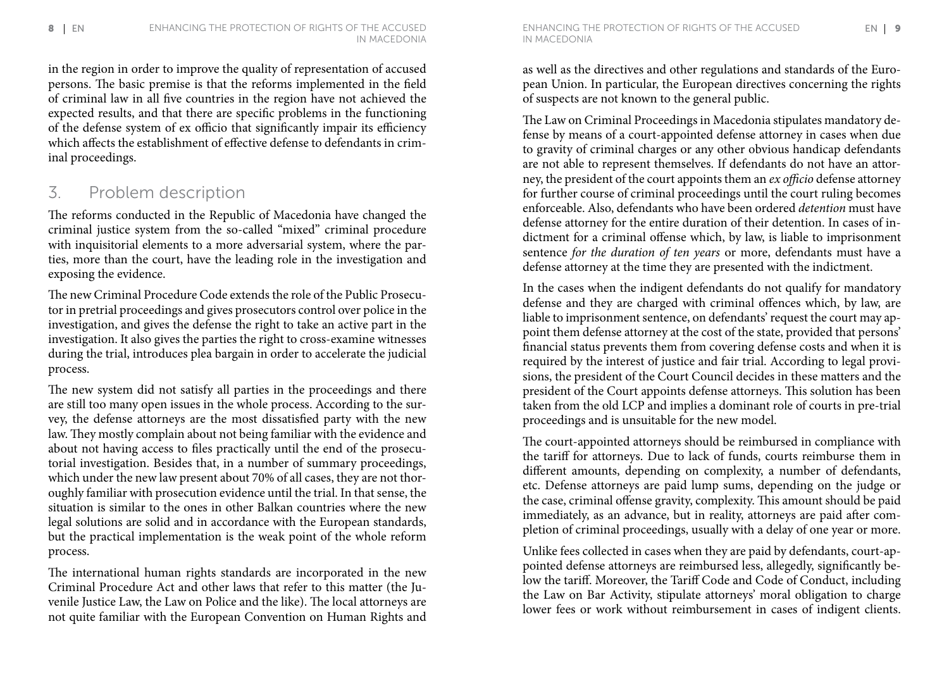in the region in order to improve the quality of representation of accused persons. The basic premise is that the reforms implemented in the field of criminal law in all five countries in the region have not achieved the expected results, and that there are specific problems in the functioning of the defense system of ex officio that significantly impair its efficiency which affects the establishment of effective defense to defendants in criminal proceedings.

### 3. Problem description

The reforms conducted in the Republic of Macedonia have changed the criminal justice system from the so-called "mixed" criminal procedure with inquisitorial elements to a more adversarial system, where the parties, more than the court, have the leading role in the investigation and exposing the evidence.

The new Criminal Procedure Code extends the role of the Public Prosecutor in pretrial proceedings and gives prosecutors control over police in the investigation, and gives the defense the right to take an active part in the investigation. It also gives the parties the right to cross-examine witnesses during the trial, introduces plea bargain in order to accelerate the judicial process.

The new system did not satisfy all parties in the proceedings and there are still too many open issues in the whole process. According to the survey, the defense attorneys are the most dissatisfied party with the new law. They mostly complain about not being familiar with the evidence and about not having access to files practically until the end of the prosecutorial investigation. Besides that, in a number of summary proceedings, which under the new law present about 70% of all cases, they are not thoroughly familiar with prosecution evidence until the trial. In that sense, the situation is similar to the ones in other Balkan countries where the new legal solutions are solid and in accordance with the European standards, but the practical implementation is the weak point of the whole reform process.

The international human rights standards are incorporated in the new Criminal Procedure Act and other laws that refer to this matter (the Juvenile Justice Law, the Law on Police and the like). The local attorneys are not quite familiar with the European Convention on Human Rights and as well as the directives and other regulations and standards of the European Union. In particular, the European directives concerning the rights of suspects are not known to the general public.

The Law on Criminal Proceedings in Macedonia stipulates mandatory defense by means of a court-appointed defense attorney in cases when due to gravity of criminal charges or any other obvious handicap defendants are not able to represent themselves. If defendants do not have an attorney, the president of the court appoints them an *ex officio* defense attorney for further course of criminal proceedings until the court ruling becomes enforceable. Also, defendants who have been ordered *detention* must have defense attorney for the entire duration of their detention. In cases of indictment for a criminal offense which, by law, is liable to imprisonment sentence *for the duration of ten years* or more, defendants must have a defense attorney at the time they are presented with the indictment.

In the cases when the indigent defendants do not qualify for mandatory defense and they are charged with criminal offences which, by law, are liable to imprisonment sentence, on defendants' request the court may appoint them defense attorney at the cost of the state, provided that persons' financial status prevents them from covering defense costs and when it is required by the interest of justice and fair trial. According to legal provisions, the president of the Court Council decides in these matters and the president of the Court appoints defense attorneys. This solution has been taken from the old LCP and implies a dominant role of courts in pre-trial proceedings and is unsuitable for the new model.

The court-appointed attorneys should be reimbursed in compliance with the tariff for attorneys. Due to lack of funds, courts reimburse them in different amounts, depending on complexity, a number of defendants, etc. Defense attorneys are paid lump sums, depending on the judge or the case, criminal offense gravity, complexity. This amount should be paid immediately, as an advance, but in reality, attorneys are paid after completion of criminal proceedings, usually with a delay of one year or more.

Unlike fees collected in cases when they are paid by defendants, court-appointed defense attorneys are reimbursed less, allegedly, significantly below the tariff. Moreover, the Tariff Code and Code of Conduct, including the Law on Bar Activity, stipulate attorneys' moral obligation to charge lower fees or work without reimbursement in cases of indigent clients.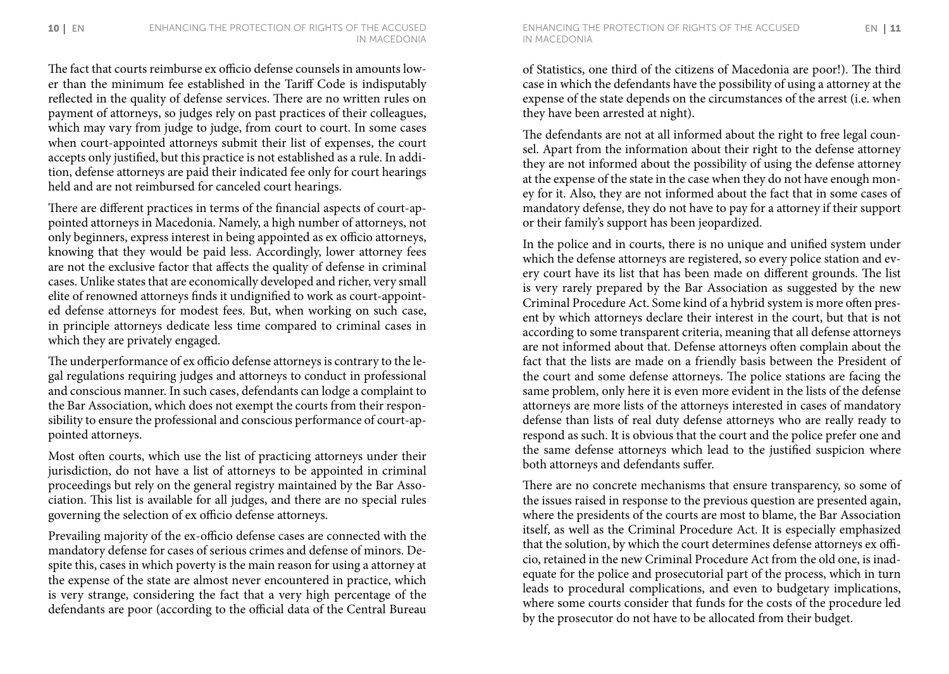The fact that courts reimburse ex officio defense counsels in amounts lower than the minimum fee established in the Tariff Code is indisputably reflected in the quality of defense services. There are no written rules on payment of attorneys, so judges rely on past practices of their colleagues, which may vary from judge to judge, from court to court. In some cases when court-appointed attorneys submit their list of expenses, the court accepts only justified, but this practice is not established as a rule. In addition, defense attorneys are paid their indicated fee only for court hearings held and are not reimbursed for canceled court hearings.

There are different practices in terms of the financial aspects of court-appointed attorneys in Macedonia. Namely, a high number of attorneys, not only beginners, express interest in being appointed as ex officio attorneys, knowing that they would be paid less. Accordingly, lower attorney fees are not the exclusive factor that affects the quality of defense in criminal cases. Unlike states that are economically developed and richer, very small elite of renowned attorneys finds it undignified to work as court-appointed defense attorneys for modest fees. But, when working on such case, in principle attorneys dedicate less time compared to criminal cases in which they are privately engaged.

The underperformance of ex officio defense attorneys is contrary to the legal regulations requiring judges and attorneys to conduct in professional and conscious manner. In such cases, defendants can lodge a complaint to the Bar Association, which does not exempt the courts from their responsibility to ensure the professional and conscious performance of court-appointed attorneys.

Most often courts, which use the list of practicing attorneys under their jurisdiction, do not have a list of attorneys to be appointed in criminal proceedings but rely on the general registry maintained by the Bar Association. This list is available for all judges, and there are no special rules governing the selection of ex officio defense attorneys.

Prevailing majority of the ex-officio defense cases are connected with the mandatory defense for cases of serious crimes and defense of minors. Despite this, cases in which poverty is the main reason for using a attorney at the expense of the state are almost never encountered in practice, which is very strange, considering the fact that a very high percentage of the defendants are poor (according to the official data of the Central Bureau

in Macedonia

of Statistics, one third of the citizens of Macedonia are poor!). The third case in which the defendants have the possibility of using a attorney at the expense of the state depends on the circumstances of the arrest (i.e. when they have been arrested at night).

The defendants are not at all informed about the right to free legal counsel. Apart from the information about their right to the defense attorney they are not informed about the possibility of using the defense attorney at the expense of the state in the case when they do not have enough money for it. Also, they are not informed about the fact that in some cases of mandatory defense, they do not have to pay for a attorney if their support or their family's support has been jeopardized.

In the police and in courts, there is no unique and unified system under which the defense attorneys are registered, so every police station and every court have its list that has been made on different grounds. The list is very rarely prepared by the Bar Association as suggested by the new Criminal Procedure Act. Some kind of a hybrid system is more often present by which attorneys declare their interest in the court, but that is not according to some transparent criteria, meaning that all defense attorneys are not informed about that. Defense attorneys often complain about the fact that the lists are made on a friendly basis between the President of the court and some defense attorneys. The police stations are facing the same problem, only here it is even more evident in the lists of the defense attorneys are more lists of the attorneys interested in cases of mandatory defense than lists of real duty defense attorneys who are really ready to respond as such. It is obvious that the court and the police prefer one and the same defense attorneys which lead to the justified suspicion where both attorneys and defendants suffer.

There are no concrete mechanisms that ensure transparency, so some of the issues raised in response to the previous question are presented again, where the presidents of the courts are most to blame, the Bar Association itself, as well as the Criminal Procedure Act. It is especially emphasized that the solution, by which the court determines defense attorneys ex officio, retained in the new Criminal Procedure Act from the old one, is inadequate for the police and prosecutorial part of the process, which in turn leads to procedural complications, and even to budgetary implications, where some courts consider that funds for the costs of the procedure led by the prosecutor do not have to be allocated from their budget.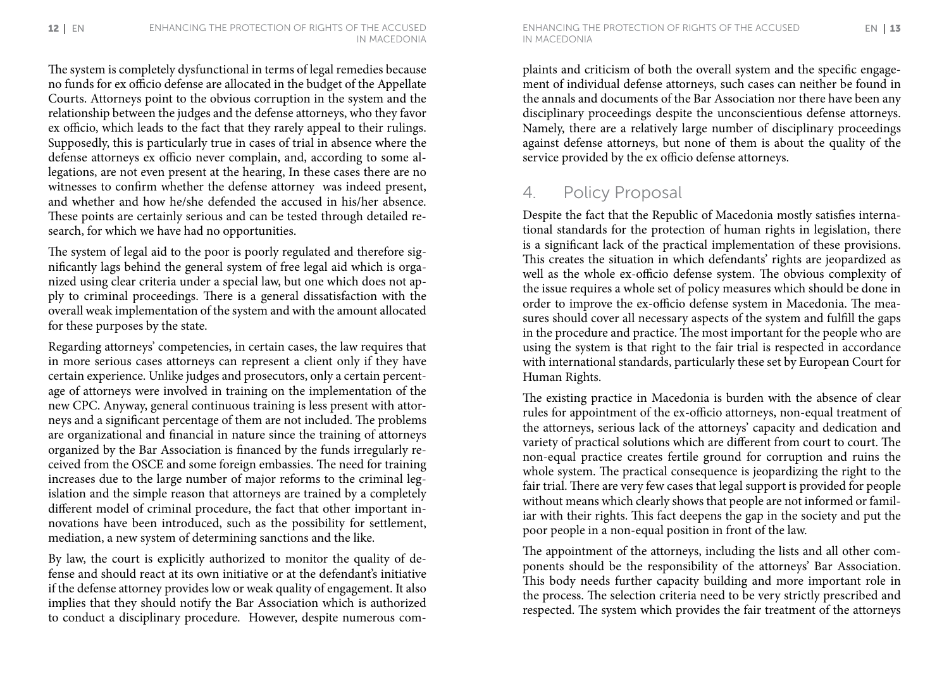The system is completely dysfunctional in terms of legal remedies because no funds for ex officio defense are allocated in the budget of the Appellate Courts. Attorneys point to the obvious corruption in the system and the relationship between the judges and the defense attorneys, who they favor ex officio, which leads to the fact that they rarely appeal to their rulings. Supposedly, this is particularly true in cases of trial in absence where the defense attorneys ex officio never complain, and, according to some allegations, are not even present at the hearing, In these cases there are no witnesses to confirm whether the defense attorney was indeed present, and whether and how he/she defended the accused in his/her absence. These points are certainly serious and can be tested through detailed research, for which we have had no opportunities.

The system of legal aid to the poor is poorly regulated and therefore significantly lags behind the general system of free legal aid which is organized using clear criteria under a special law, but one which does not apply to criminal proceedings. There is a general dissatisfaction with the overall weak implementation of the system and with the amount allocated for these purposes by the state.

Regarding attorneys' competencies, in certain cases, the law requires that in more serious cases attorneys can represent a client only if they have certain experience. Unlike judges and prosecutors, only a certain percentage of attorneys were involved in training on the implementation of the new CPC. Anyway, general continuous training is less present with attorneys and a significant percentage of them are not included. The problems are organizational and financial in nature since the training of attorneys organized by the Bar Association is financed by the funds irregularly received from the OSCE and some foreign embassies. The need for training increases due to the large number of major reforms to the criminal legislation and the simple reason that attorneys are trained by a completely different model of criminal procedure, the fact that other important innovations have been introduced, such as the possibility for settlement, mediation, a new system of determining sanctions and the like.

By law, the court is explicitly authorized to monitor the quality of defense and should react at its own initiative or at the defendant's initiative if the defense attorney provides low or weak quality of engagement. It also implies that they should notify the Bar Association which is authorized to conduct a disciplinary procedure. However, despite numerous complaints and criticism of both the overall system and the specific engagement of individual defense attorneys, such cases can neither be found in the annals and documents of the Bar Association nor there have been any disciplinary proceedings despite the unconscientious defense attorneys. Namely, there are a relatively large number of disciplinary proceedings against defense attorneys, but none of them is about the quality of the service provided by the ex officio defense attorneys.

### 4. Policy Proposal

Despite the fact that the Republic of Macedonia mostly satisfies international standards for the protection of human rights in legislation, there is a significant lack of the practical implementation of these provisions. This creates the situation in which defendants' rights are jeopardized as well as the whole ex-officio defense system. The obvious complexity of the issue requires a whole set of policy measures which should be done in order to improve the ex-officio defense system in Macedonia. The measures should cover all necessary aspects of the system and fulfill the gaps in the procedure and practice. The most important for the people who are using the system is that right to the fair trial is respected in accordance with international standards, particularly these set by European Court for Human Rights.

The existing practice in Macedonia is burden with the absence of clear rules for appointment of the ex-officio attorneys, non-equal treatment of the attorneys, serious lack of the attorneys' capacity and dedication and variety of practical solutions which are different from court to court. The non-equal practice creates fertile ground for corruption and ruins the whole system. The practical consequence is jeopardizing the right to the fair trial. There are very few cases that legal support is provided for people without means which clearly shows that people are not informed or familiar with their rights. This fact deepens the gap in the society and put the poor people in a non-equal position in front of the law.

The appointment of the attorneys, including the lists and all other components should be the responsibility of the attorneys' Bar Association. This body needs further capacity building and more important role in the process. The selection criteria need to be very strictly prescribed and respected. The system which provides the fair treatment of the attorneys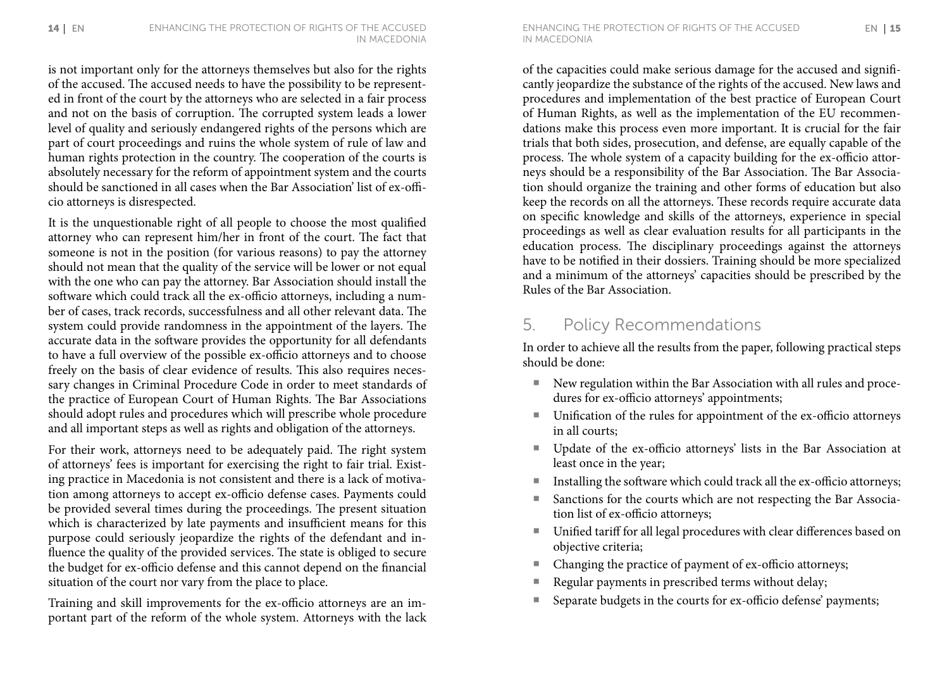is not important only for the attorneys themselves but also for the rights of the accused. The accused needs to have the possibility to be represented in front of the court by the attorneys who are selected in a fair process and not on the basis of corruption. The corrupted system leads a lower level of quality and seriously endangered rights of the persons which are part of court proceedings and ruins the whole system of rule of law and human rights protection in the country. The cooperation of the courts is absolutely necessary for the reform of appointment system and the courts should be sanctioned in all cases when the Bar Association' list of ex-officio attorneys is disrespected.

It is the unquestionable right of all people to choose the most qualified attorney who can represent him/her in front of the court. The fact that someone is not in the position (for various reasons) to pay the attorney should not mean that the quality of the service will be lower or not equal with the one who can pay the attorney. Bar Association should install the software which could track all the ex-officio attorneys, including a number of cases, track records, successfulness and all other relevant data. The system could provide randomness in the appointment of the layers. The accurate data in the software provides the opportunity for all defendants to have a full overview of the possible ex-officio attorneys and to choose freely on the basis of clear evidence of results. This also requires necessary changes in Criminal Procedure Code in order to meet standards of the practice of European Court of Human Rights. The Bar Associations should adopt rules and procedures which will prescribe whole procedure and all important steps as well as rights and obligation of the attorneys.

For their work, attorneys need to be adequately paid. The right system of attorneys' fees is important for exercising the right to fair trial. Existing practice in Macedonia is not consistent and there is a lack of motivation among attorneys to accept ex-officio defense cases. Payments could be provided several times during the proceedings. The present situation which is characterized by late payments and insufficient means for this purpose could seriously jeopardize the rights of the defendant and influence the quality of the provided services. The state is obliged to secure the budget for ex-officio defense and this cannot depend on the financial situation of the court nor vary from the place to place.

Training and skill improvements for the ex-officio attorneys are an important part of the reform of the whole system. Attorneys with the lack in Macedonia

of the capacities could make serious damage for the accused and significantly jeopardize the substance of the rights of the accused. New laws and procedures and implementation of the best practice of European Court of Human Rights, as well as the implementation of the EU recommendations make this process even more important. It is crucial for the fair trials that both sides, prosecution, and defense, are equally capable of the process. The whole system of a capacity building for the ex-officio attorneys should be a responsibility of the Bar Association. The Bar Association should organize the training and other forms of education but also keep the records on all the attorneys. These records require accurate data on specific knowledge and skills of the attorneys, experience in special proceedings as well as clear evaluation results for all participants in the education process. The disciplinary proceedings against the attorneys have to be notified in their dossiers. Training should be more specialized and a minimum of the attorneys' capacities should be prescribed by the Rules of the Bar Association.

#### 5. Policy Recommendations

In order to achieve all the results from the paper, following practical steps should be done:

- New regulation within the Bar Association with all rules and procedures for ex-officio attorneys' appointments;
- Unification of the rules for appointment of the ex-officio attorneys in all courts;
- ¡ Update of the ex-officio attorneys' lists in the Bar Association at least once in the year;
- Installing the software which could track all the ex-officio attorneys;
- Sanctions for the courts which are not respecting the Bar Association list of ex-officio attorneys;
- ¡ Unified tariff for all legal procedures with clear differences based on objective criteria;
- Changing the practice of payment of ex-officio attorneys;
- Regular payments in prescribed terms without delay;
- Separate budgets in the courts for ex-officio defense' payments;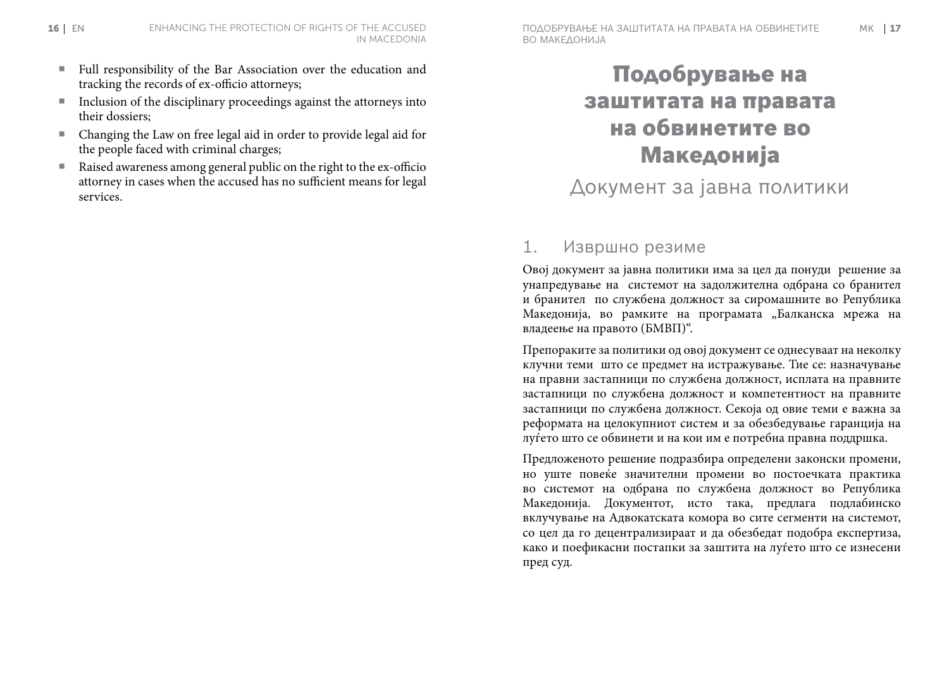- ¡ Full responsibility of the Bar Association over the education and tracking the records of ex-officio attorneys;
- Inclusion of the disciplinary proceedings against the attorneys into their dossiers;
- Changing the Law on free legal aid in order to provide legal aid for the people faced with criminal charges;
- ¡ Raised awareness among general public on the right to the ex-officio attorney in cases when the accused has no sufficient means for legal services.

## Подобрување на заштитата на правата на обвинетите во Македонија

## Документ за јавна политики

#### 1. Извршно резиме

Овој документ за јавна политики има за цел да понуди решение за унапредување на системот на задолжителна одбрана со бранител и бранител по службена должност за сиромашните во Република Македонија, во рамките на програмата "Балканска мрежа на владеење на правото (БМВП)".

Препораките за политики од овој документ се однесуваат на неколку клучни теми што се предмет на истражување. Тие се: назначување на правни застапници по службена должност, исплата на правните застапници по службена должност и компетентност на правните застапници по службена должност. Секоја од овие теми е важна за реформата на целокупниот систем и за обезбедување гаранција на луѓето што се обвинети и на кои им е потребна правна поддршка.

Предложеното решение подразбира определени законски промени, но уште повеќе значителни промени во постоечката практика во системот на одбрана по службена должност во Република Македонија. Документот, исто така, предлага подлабинско вклучување на Адвокатската комора во сите сегменти на системот, со цел да го децентрализираат и да обезбедат подобра експертиза, како и поефикасни постапки за заштита на луѓето што се изнесени пред суд.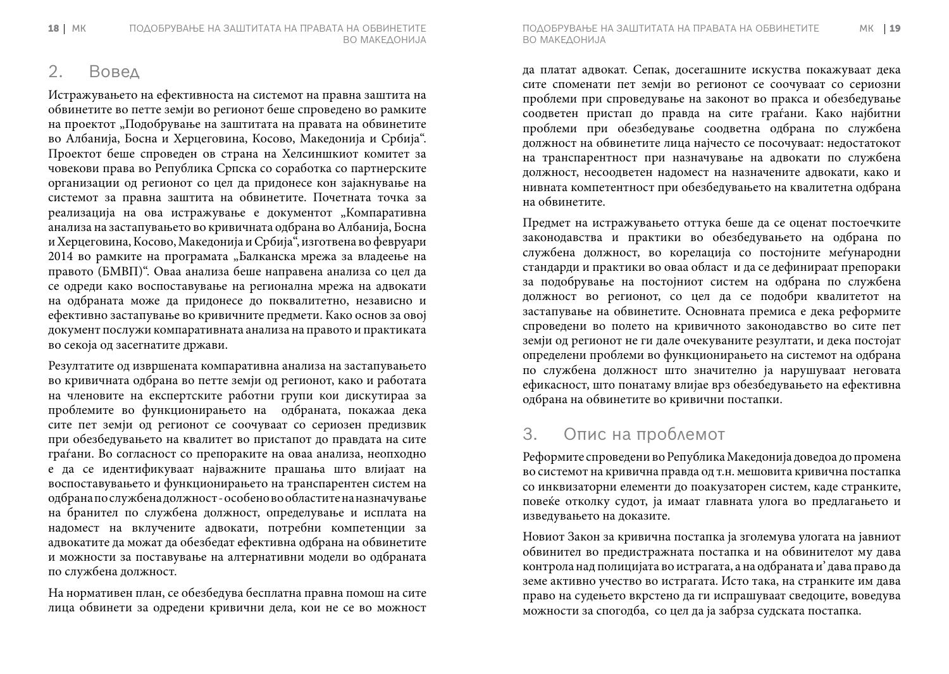### 2. Вовед

Истражувањето на ефективноста на системот на правна заштита на обвинетите во петте земји во регионот беше спроведено во рамките на проектот "Подобрување на заштитата на правата на обвинетите во Албанија, Босна и Херцеговина, Косово, Македонија и Србија". Проектот беше спроведен ов страна на Хелсиншкиот комитет за човекови права во Република Српска со соработка со партнерските организации од регионот со цел да придонесе кон зајакнување на системот за правна заштита на обвинетите. Почетната точка за реализација на ова истражување е документот "Компаративна анализа на застапувањето во кривичната одбрана во Албанија, Босна и Херцеговина, Косово, Македонија и Србија", изготвена во февруари 2014 во рамките на програмата "Балканска мрежа за владеење на правото (БМВП)". Оваа анализа беше направена анализа со цел да се одреди како воспоставување на регионална мрежа на адвокати на одбраната може да придонесе до поквалитетно, независно и ефективно застапување во кривичните предмети. Како основ за овој документ послужи компаративната анализа на правото и практиката во секоја од засегнатите држави.

Резултатите од извршената компаративна анализа на застапувањето во кривичната одбрана во петте земји од регионот, како и работата на членовите на експертските работни групи кои дискутираа за проблемите во функционирањето на одбраната, покажаа дека сите пет земји од регионот се соочуваат со сериозен предизвик при обезбедувањето на квалитет во пристапот до правдата на сите граѓани. Во согласност со препораките на оваа анализа, неопходно е да се идентификуваат најважните прашања што влијаат на воспоставувањето и функционирањето на транспарентен систем на одбрана по службена должност - особено во областите на назначување на бранител по службена должност, определување и исплата на надомест на вклучените адвокати, потребни компетенции за адвокатите да можат да обезбедат ефективна одбрана на обвинетите и можности за поставување на алтернативни модели во одбраната по службена должност.

На нормативен план, се обезбедува бесплатна правна помош на сите лица обвинети за одредени кривични дела, кои не се во можност

да платат адвокат. Сепак, досегашните искуства покажуваат дека сите споменати пет земји во регионот се соочуваат со сериозни проблеми при спроведување на законот во пракса и обезбедување соодветен пристап до правда на сите граѓани. Како најбитни проблеми при обезбедување соодветна одбрана по службена должност на обвинетите лица најчесто се посочуваат: недостатокот на транспарентност при назначување на адвокати по службена должност, несоодветен надомест на назначените адвокати, како и нивната компетентност при обезбедувањето на квалитетна одбрана на обвинетите.

Предмет на истражувањето оттука беше да се оценат постоечките законодавства и практики во обезбедувањето на одбрана по службена должност, во корелација со постојните меѓународни стандарди и практики во оваа област и да се дефинираат препораки за подобрување на постојниот систем на одбрана по службена должност во регионот, со цел да се подобри квалитетот на застапување на обвинетите. Основната премиса е дека реформите спроведени во полето на кривичното законодавство во сите пет земји од регионот не ги дале очекуваните резултати, и дека постојат определени проблеми во функционирањето на системот на одбрана по службена должност што значително ја нарушуваат неговата ефикасност, што понатаму влијае врз обезбедувањето на ефективна одбрана на обвинетите во кривични постапки.

### 3. Опис на проблемот

Реформите спроведени во Република Македонија доведоа до промена во системот на кривична правда од т.н. мешовита кривична постапка со инквизаторни елементи до поакузаторен систем, каде странките, повеќе отколку судот, ја имаат главната улога во предлагањето и изведувањето на доказите.

Новиот Закон за кривична постапка ја зголемува улогата на јавниот обвинител во предистражната постапка и на обвинителот му дава контрола над полицијата во истрагата, а на одбраната и' дава право да земе активно учество во истрагата. Исто така, на странките им дава право на судењето вкрстено да ги испрашуваат сведоците, воведува можности за спогодба, со цел да ја забрза судската постапка.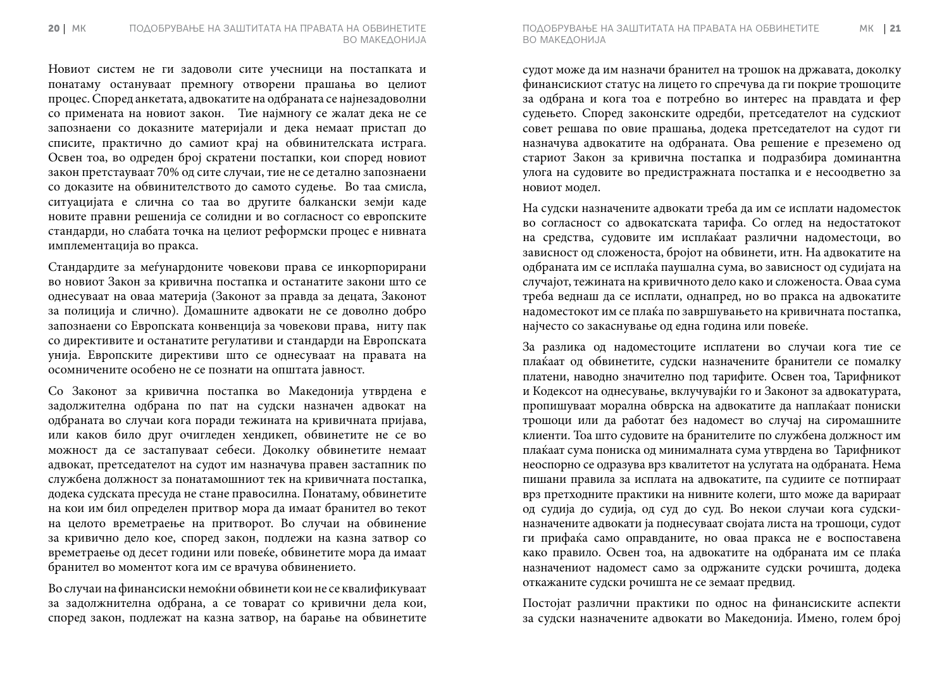Новиот систем не ги задоволи сите учесници на постапката и понатаму остануваат премногу отворени прашања во целиот процес. Според анкетата, адвокатите на одбраната се најнезадоволни со примената на новиот закон. Тие најмногу се жалат дека не се запознаени со доказните материјали и дека немаат пристап до списите, практично до самиот крај на обвинителската истрага. Освен тоа, во одреден број скратени постапки, кои според новиот закон претстауваат 70% од сите случаи, тие не се детално запознаени со доказите на обвинителството до самото судење. Во таа смисла, ситуацијата е слична со таа во другите балкански земји каде новите правни решенија се солидни и во согласност со европските стандарди, но слабата точка на целиот реформски процес е нивната имплементација во пракса.

Стандардите за меѓунардоните човекови права се инкорпорирани во новиот Закон за кривична постапка и останатите закони што се однесуваат на оваа материја (Законот за правда за децата, Законот за полиција и слично). Домашните адвокати не се доволно добро запознаени со Европската конвенција за човекови права, ниту пак со директивите и останатите регулативи и стандарди на Европската унија. Европските директиви што се однесуваат на правата на осомничените особено не се познати на општата јавност.

Со Законот за кривична постапка во Македонија утврдена е задолжителна одбрана по пат на судски назначен адвокат на одбраната во случаи кога поради тежината на кривичната пријава, или каков било друг очигледен хендикеп, обвинетите не се во можност да се застапуваат себеси. Доколку обвинетите немаат адвокат, претседателот на судот им назначува правен застапник по службена должност за понатамошниот тек на кривичната постапка, додека судската пресуда не стане правосилна. Понатаму, обвинетите на кои им бил определен притвор мора да имаат бранител во текот на целото времетраење на притворот. Во случаи на обвинение за кривично дело кое, според закон, подлежи на казна затвор со времетраење од десет години или повеќе, обвинетите мора да имаат бранител во моментот кога им се врачува обвинението.

Во случаи на финансиски немоќни обвинети кои не се квалификуваат за задолжнителна одбрана, а се товарат со кривични дела кои, според закон, подлежат на казна затвор, на барање на обвинетите

судот може да им назначи бранител на трошок на државата, доколку финансискиот статус на лицето го спречува да ги покрие трошоците за одбрана и кога тоа е потребно во интерес на правдата и фер судењето. Според законските одредби, претседателот на судскиот совет решава по овие прашања, додека претседателот на судот ги назначува адвокатите на одбраната. Ова решение е преземено од стариот Закон за кривична постапка и подразбира доминантна улога на судовите во предистражната постапка и е несоодветно за новиот модел.

На судски назначените адвокати треба да им се исплати надоместок во согласност со адвокатската тарифа. Со оглед на недостатокот на средства, судовите им исплаќаат различни надоместоци, во зависност од сложеноста, бројот на обвинети, итн. На адвокатите на одбраната им се исплаќа паушална сума, во зависност од судијата на случајот, тежината на кривичното дело како и сложеноста. Оваа сума треба веднаш да се исплати, однапред, но во пракса на адвокатите надоместокот им се плаќа по завршувањето на кривичната постапка, најчесто со закаснување од една година или повеќе.

За разлика од надоместоците исплатени во случаи кога тие се плаќаат од обвинетите, судски назначените бранители се помалку платени, наводно значително под тарифите. Освен тоа, Тарифникот и Кодексот на однесување, вклучувајќи го и Законот за адвокатурата, пропишуваат морална обврска на адвокатите да наплаќаат пониски трошоци или да работат без надомест во случај на сиромашните клиенти. Тоа што судовите на бранителите по службена должност им плаќаат сума пониска од минималната сума утврдена во Тарифникот неоспорно се одразува врз квалитетот на услугата на одбраната. Нема пишани правила за исплата на адвокатите, па судиите се потпираат врз претходните практики на нивните колеги, што може да варираат од судија до судија, од суд до суд. Во некои случаи кога судскиназначените адвокати ја поднесуваат својата листа на трошоци, судот ги прифаќа само оправданите, но оваа пракса не е воспоставена како правило. Освен тоа, на адвокатите на одбраната им се плаќа назначениот надомест само за одржаните судски рочишта, додека откажаните судски рочишта не се земаат предвид.

Постојат различни практики по однос на финансиските аспекти за судски назначените адвокати во Македонија. Имено, голем број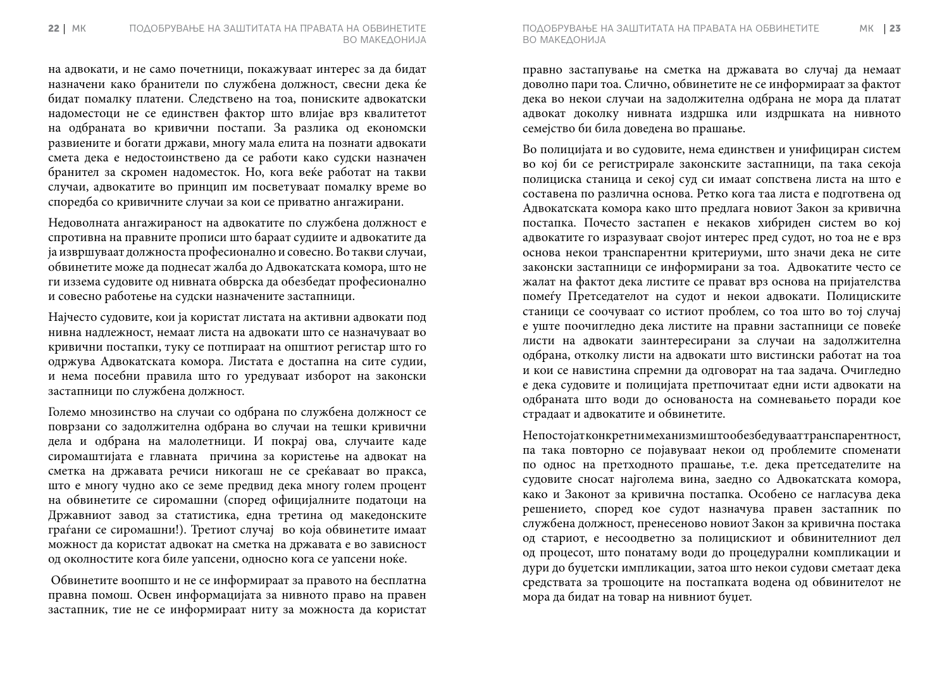на адвокати, и не само почетници, покажуваат интерес за да бидат назначени како бранители по службена должност, свесни дека ќе бидат помалку платени. Следствено на тоа, пониските адвокатски надоместоци не се единствен фактор што влијае врз квалитетот на одбраната во кривични постапи. За разлика од економски развиените и богати држави, многу мала елита на познати адвокати смета дека е недостоинствено да се работи како судски назначен бранител за скромен надоместок. Но, кога веќе работат на такви случаи, адвокатите во принцип им посветуваат помалку време во споредба со кривичните случаи за кои се приватно ангажирани.

Недоволната ангажираност на адвокатите по службена должност е спротивна на правните прописи што бараат судиите и адвокатите да ја извршуваат должноста професионално и совесно. Во такви случаи, обвинетите може да поднесат жалба до Адвокатската комора, што не ги иззема судовите од нивната обврска да обезбедат професионално и совесно работење на судски назначените застапници.

Најчесто судовите, кои ја користат листата на активни адвокати под нивна надлежност, немаат листа на адвокати што се назначуваат во кривични постапки, туку се потпираат на општиот регистар што го одржува Адвокатската комора. Листата е достапна на сите судии, и нема посебни правила што го уредуваат изборот на законски застапници по службена должност.

Големо мнозинство на случаи со одбрана по службена должност се поврзани со задолжителна одбрана во случаи на тешки кривични дела и одбрана на малолетници. И покрај ова, случаите каде сиромаштијата е главната причина за користење на адвокат на сметка на државата речиси никогаш не се среќаваат во пракса, што е многу чудно ако се земе предвид дека многу голем процент на обвинетите се сиромашни (според официјалните податоци на Државниот завод за статистика, една третина од македонските граѓани се сиромашни!). Третиот случај во која обвинетите имаат можност да користат адвокат на сметка на државата е во зависност од околностите кога биле уапсени, односно кога се уапсени ноќе.

 Обвинетите воопшто и не се информираат за правото на бесплатна правна помош. Освен информацијата за нивното право на правен застапник, тие не се информираат ниту за можноста да користат

правно застапување на сметка на државата во случај да немаат доволно пари тоа. Слично, обвинетите не се информираат за фактот дека во некои случаи на задолжителна одбрана не мора да платат адвокат доколку нивната издршка или издршката на нивното семејство би била доведена во прашање.

Во полицијата и во судовите, нема единствен и унифициран систем во кој би се регистрирале законските застапници, па така секоја полициска станица и секој суд си имаат сопствена листа на што е составена по различна основа. Ретко кога таа листа е подготвена од Адвокатската комора како што предлага новиот Закон за кривична постапка. Почесто застапен е некаков хибриден систем во кој адвокатите го изразуваат својот интерес пред судот, но тоа не е врз основа некои транспарентни критериуми, што значи дека не сите законски застапници се информирани за тоа. Адвокатите често се жалат на фактот дека листите се прават врз основа на пријателства помеѓу Претседателот на судот и некои адвокати. Полициските станици се соочуваат со истиот проблем, со тоа што во тој случај е уште поочигледно дека листите на правни застапници се повеќе листи на адвокати заинтересирани за случаи на задолжителна одбрана, отколку листи на адвокати што вистински работат на тоа и кои се навистина спремни да одговорат на таа задача. Очигледно е дека судовите и полицијата претпочитаат едни исти адвокати на одбраната што води до основаноста на сомневањето поради кое страдаат и адвокатите и обвинетите.

Не постојат конкретни механизми што обезбедуваат транспарентност, па така повторно се појавуваат некои од проблемите споменати по однос на претходното прашање, т.е. дека претседателите на судовите сносат најголема вина, заедно со Адвокатската комора, како и Законот за кривична постапка. Особено се нагласува дека решението, според кое судот назначува правен застапник по службена должност, пренесеново новиот Закон за кривична постака од стариот, е несоодветно за полицискиот и обвинителниот дел од процесот, што понатаму води до процедурални компликации и дури до буџетски импликации, затоа што некои судови сметаат дека средствата за трошоците на постапката водена од обвинителот не мора да бидат на товар на нивниот буџет.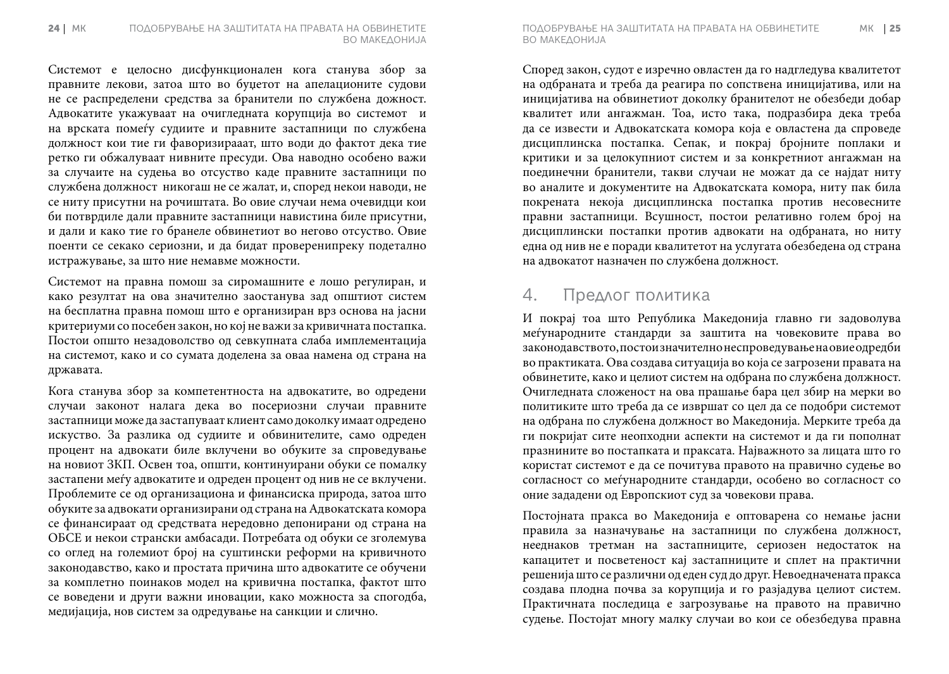Системот е целосно дисфункционален кога станува збор за правните лекови, затоа што во буџетот на апелационите судови не се распределени средства за бранители по службена дожност. Адвокатите укажуваат на очигледната корупција во системот и на врската помеѓу судиите и правните застапници по службена должност кои тие ги фаворизирааат, што води до фактот дека тие ретко ги обжалуваат нивните пресуди. Ова наводно особено важи за случаите на судења во отсуство каде правните застапници по службена должност никогаш не се жалат, и, според некои наводи, не се ниту присутни на рочиштата. Во овие случаи нема очевидци кои би потврдиле дали правните застапници навистина биле присутни, и дали и како тие го бранеле обвинетиот во негово отсуство. Овие поенти се секако сериозни, и да бидат проверенипреку подетално истражување, за што ние немавме можности.

Системот на правна помош за сиромашните е лошо регулиран, и како резултат на ова значително заостанува зад општиот систем на бесплатна правна помош што е организиран врз основа на јасни критериуми со посебен закон, но кој не важи за кривичната постапка. Постои општо незадоволство од севкупната слаба имплементација на системот, како и со сумата доделена за оваа намена од страна на државата.

Кога станува збор за компетентноста на адвокатите, во одредени случаи законот налага дека во посериозни случаи правните застапници може да застапуваат клиент само доколку имаат одредено искуство. За разлика од судиите и обвинителите, само одреден процент на адвокати биле вклучени во обуките за спроведување на новиот ЗКП. Освен тоа, општи, континуирани обуки се помалку застапени меѓу адвокатите и одреден процент од нив не се вклучени. Проблемите се од организациона и финансиска природа, затоа што обуките за адвокати организирани од страна на Адвокатската комора се финансираат од средствата нередовно депонирани од страна на ОБСЕ и некои странски амбасади. Потребата од обуки се зголемува со оглед на големиот број на суштински реформи на кривичното законодавство, како и простата причина што адвокатите се обучени за комплетно поинаков модел на кривична постапка, фактот што се воведени и други важни иновации, како можноста за спогодба, медијација, нов систем за одредување на санкции и слично.

Според закон, судот е изречно овластен да го надгледува квалитетот на одбраната и треба да реагира по сопствена иницијатива, или на иницијатива на обвинетиот доколку бранителот не обезбеди добар квалитет или ангажман. Тоа, исто така, подразбира дека треба да се извести и Адвокатската комора која е овластена да спроведе дисциплинска постапка. Сепак, и покрај бројните поплаки и критики и за целокупниот систем и за конкретниот ангажман на поединечни бранители, такви случаи не можат да се најдат ниту во аналите и документите на Адвокатската комора, ниту пак била покрената некоја дисциплинска постапка против несовесните правни застапници. Всушност, постои релативно голем број на дисциплински постапки против адвокати на одбраната, но ниту една од нив не е поради квалитетот на услугата обезбедена од страна на адвокатот назначен по службена должност.

#### 4. Предлог политика

И покрај тоа што Република Македонија главно ги задоволува меѓународните стандарди за заштита на човековите права во законодавството, постои значително неспроведување на овие одредби во практиката. Ова создава ситуација во која се загрозени правата на обвинетите, како и целиот систем на одбрана по службена должност. Очигледната сложеност на ова прашање бара цел збир на мерки во политиките што треба да се извршат со цел да се подобри системот на одбрана по службена должност во Македонија. Мерките треба да ги покријат сите неопходни аспекти на системот и да ги пополнат празнините во постапката и праксата. Најважното за лицата што го користат системот е да се почитува правото на правично судење во согласност со меѓународните стандарди, особено во согласност со оние зададени од Европскиот суд за човекови права.

Постојната пракса во Македонија е оптоварена со немање јасни правила за назначување на застапници по службена должност, нееднаков третман на застапниците, сериозен недостаток на капацитет и посветеност кај застапниците и сплет на практични решенија што се различни од еден суд до друг. Невоедначената пракса создава плодна почва за корупција и го разјадува целиот систем. Практичната последица е загрозување на правото на правично судење. Постојат многу малку случаи во кои се обезбедува правна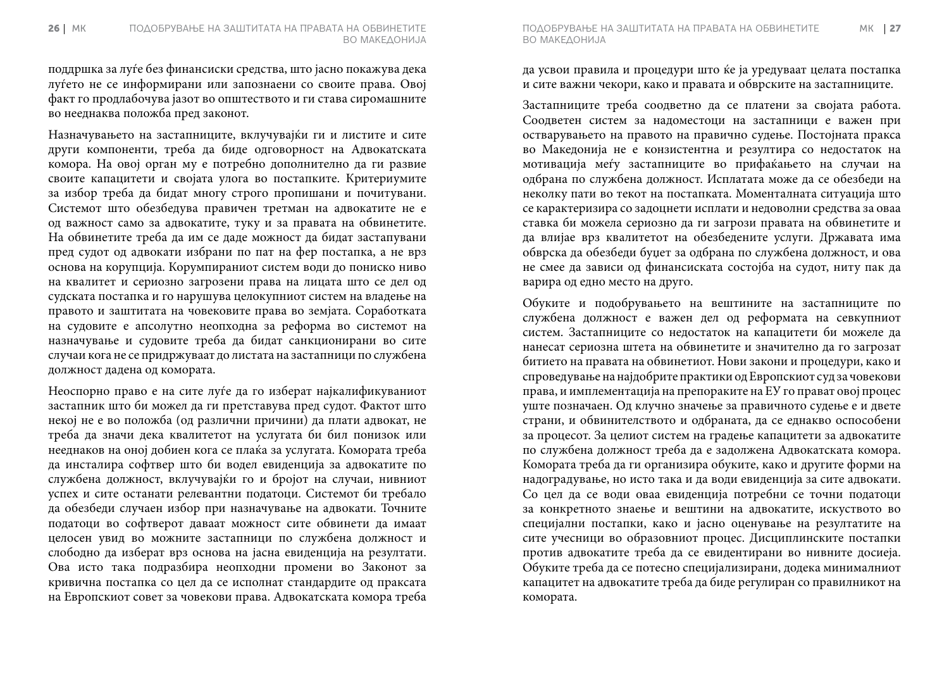поддршка за луѓе без финансиски средства, што јасно покажува дека луѓето не се информирани или запознаени со своите права. Овој факт го продлабочува јазот во општеството и ги става сиромашните во нееднаква положба пред законот.

Назначувањето на застапниците, вклучувајќи ги и листите и сите други компоненти, треба да биде одговорност на Адвокатската комора. На овој орган му е потребно дополнително да ги развие своите капацитети и својата улога во постапките. Критериумите за избор треба да бидат многу строго пропишани и почитувани. Системот што обезбедува правичен третман на адвокатите не е од важност само за адвокатите, туку и за правата на обвинетите. На обвинетите треба да им се даде можност да бидат застапувани пред судот од адвокати избрани по пат на фер постапка, а не врз основа на корупција. Корумпираниот систем води до пониско ниво на квалитет и сериозно загрозени права на лицата што се дел од судската постапка и го нарушува целокупниот систем на владење на правото и заштитата на човековите права во земјата. Соработката на судовите е апсолутно неопходна за реформа во системот на назначување и судовите треба да бидат санкционирани во сите случаи кога не се придржуваат до листата на застапници по службена должност дадена од комората.

Неоспорно право е на сите луѓе да го изберат најкалификуваниот застапник што би можел да ги претставува пред судот. Фактот што некој не е во положба (од различни причини) да плати адвокат, не треба да значи дека квалитетот на услугата би бил понизок или нееднаков на оној добиен кога се плаќа за услугата. Комората треба да инсталира софтвер што би водел евиденција за адвокатите по службена должност, вклучувајќи го и бројот на случаи, нивниот успех и сите останати релевантни податоци. Системот би требало да обезбеди случаен избор при назначување на адвокати. Точните податоци во софтверот даваат можност сите обвинети да имаат целосен увид во можните застапници по службена должност и слободно да изберат врз основа на јасна евиденција на резултати. Ова исто така подразбира неопходни промени во Законот за кривична постапка со цел да се исполнат стандардите од праксата на Европскиот совет за човекови права. Адвокатската комора треба да усвои правила и процедури што ќе ја уредуваат целата постапка и сите важни чекори, како и правата и обврските на застапниците.

Застапниците треба соодветно да се платени за својата работа. Соодветен систем за надоместоци на застапници е важен при остварувањето на правото на правично судење. Постојната пракса во Македонија не е конзистентна и резултира со недостаток на мотивација меѓу застапниците во прифаќањето на случаи на одбрана по службена должност. Исплатата може да се обезбеди на неколку пати во текот на постапката. Моменталната ситуација што се карактеризира со задоцнети исплати и недоволни средства за оваа ставка би можела сериозно да ги загрози правата на обвинетите и да влијае врз квалитетот на обезбедените услуги. Државата има обврска да обезбеди буџет за одбрана по службена должност, и ова не смее да зависи од финансиската состојба на судот, ниту пак да варира од едно место на друго.

Обуките и подобрувањето на вештините на застапниците по службена должност е важен дел од реформата на севкупниот систем. Застапниците со недостаток на капацитети би можеле да нанесат сериозна штета на обвинетите и значително да го загрозат битието на правата на обвинетиот. Нови закони и процедури, како и спроведување на најдобрите практики од Европскиот суд за човекови права, и имплементација на препораките на ЕУ го прават овој процес уште позначаен. Од клучно значење за правичното судење е и двете страни, и обвинителството и одбраната, да се еднакво оспособени за процесот. За целиот систем на градење капацитети за адвокатите по службена должност треба да е задолжена Адвокатската комора. Комората треба да ги организира обуките, како и другите форми на надоградување, но исто така и да води евиденција за сите адвокати. Со цел да се води оваа евиденција потребни се точни податоци за конкретното знаење и вештини на адвокатите, искуството во специјални постапки, како и јасно оценување на резултатите на сите учесници во образовниот процес. Дисциплинските постапки против адвокатите треба да се евидентирани во нивните досиеја. Обуките треба да се потесно специјализирани, додека минималниот капацитет на адвокатите треба да биде регулиран со правилникот на комората.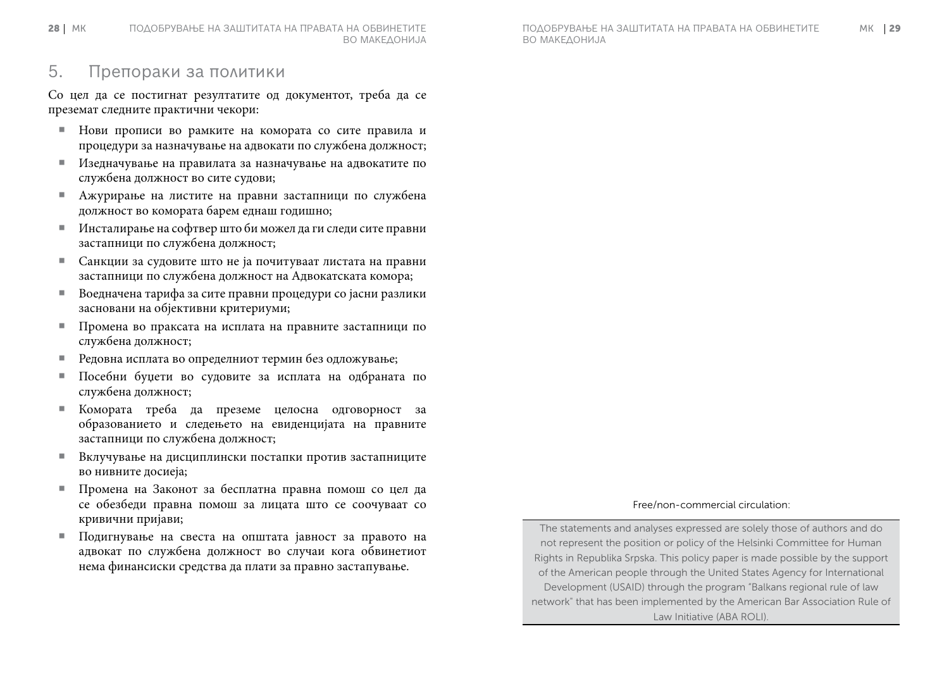#### 5. Препораки за политики

Со цел да се постигнат резултатите од документот, треба да се преземат следните практични чекори:

- ¡ Нови прописи во рамките на комората со сите правила и процедури за назначување на адвокати по службена должност;
- ¡ Изедначување на правилата за назначување на адвокатите по службена должност во сите судови;
- ¡ Ажурирање на листите на правни застапници по службена должност во комората барем еднаш годишно;
- ¡ Инсталирање на софтвер што би можел да ги следи сите правни застапници по службена должност;
- ¡ Санкции за судовите што не ја почитуваат листата на правни застапници по службена должност на Адвокатската комора;
- ¡ Воедначена тарифа за сите правни процедури со јасни разлики засновани на објективни критериуми;
- ¡ Промена во праксата на исплата на правните застапници по службена должност;
- ¡ Редовна исплата во определниот термин без одложување;
- ¡ Посебни буџети во судовите за исплата на одбраната по службена должност;
- ¡ Комората треба да преземе целосна одговорност за образованието и следењето на евиденцијата на правните застапници по службена должност;
- ¡ Вклучување на дисциплински постапки против застапниците во нивните досиеја;
- ¡ Промена на Законот за бесплатна правна помош со цел да се обезбеди правна помош за лицата што се соочуваат со кривични пријави;
- ¡ Подигнување на свеста на општата јавност за правото на адвокат по службена должност во случаи кога обвинетиот нема финансиски средства да плати за правно застапување.

#### Free/non-commercial circulation:

The statements and analyses expressed are solely those of authors and do not represent the position or policy of the Helsinki Committee for Human Rights in Republika Srpska. This policy paper is made possible by the support of the American people through the United States Agency for International Development (USAID) through the program "Balkans regional rule of law network" that has been implemented by the American Bar Association Rule of Law Initiative (ABA ROLI).